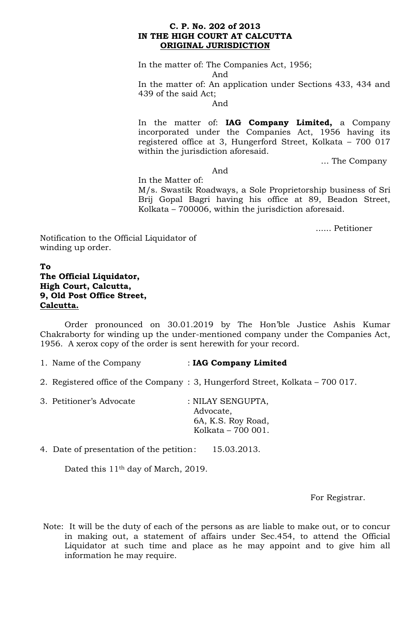## **C. P. No. 202 of 2013 IN THE HIGH COURT AT CALCUTTA ORIGINAL JURISDICTION**

In the matter of: The Companies Act, 1956; And

In the matter of: An application under Sections 433, 434 and 439 of the said Act;

And

In the matter of: **IAG Company Limited,** a Company incorporated under the Companies Act, 1956 having its registered office at 3, Hungerford Street, Kolkata – 700 017 within the jurisdiction aforesaid.

… The Company

And

In the Matter of: M/s. Swastik Roadways, a Sole Proprietorship business of Sri Brij Gopal Bagri having his office at 89, Beadon Street, Kolkata – 700006, within the jurisdiction aforesaid.

...... Petitioner

Notification to the Official Liquidator of winding up order.

## **To The Official Liquidator, High Court, Calcutta, 9, Old Post Office Street, Calcutta.**

Order pronounced on 30.01.2019 by The Hon'ble Justice Ashis Kumar Chakraborty for winding up the under-mentioned company under the Companies Act, 1956. A xerox copy of the order is sent herewith for your record.

- 1. Name of the Company : **IAG Company Limited**
- 2. Registered office of the Company : 3, Hungerford Street, Kolkata 700 017.

| 3. Petitioner's Advocate | : NILAY SENGUPTA,  |
|--------------------------|--------------------|
|                          | Advocate,          |
|                          | 6A, K.S. Roy Road, |
|                          | Kolkata – 700 001. |

4. Date of presentation of the petition: 15.03.2013.

Dated this 11<sup>th</sup> day of March, 2019.

For Registrar.

Note: It will be the duty of each of the persons as are liable to make out, or to concur in making out, a statement of affairs under Sec.454, to attend the Official Liquidator at such time and place as he may appoint and to give him all information he may require.